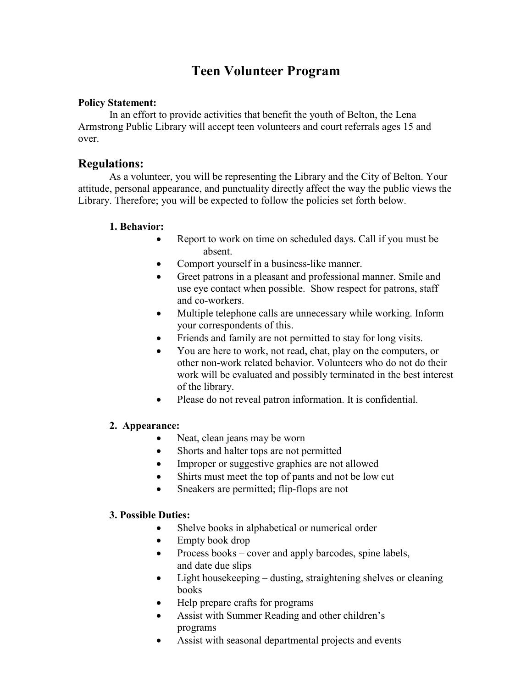## **Teen Volunteer Program**

#### **Policy Statement:**

In an effort to provide activities that benefit the youth of Belton, the Lena Armstrong Public Library will accept teen volunteers and court referrals ages 15 and over.

### **Regulations:**

As a volunteer, you will be representing the Library and the City of Belton. Your attitude, personal appearance, and punctuality directly affect the way the public views the Library. Therefore; you will be expected to follow the policies set forth below.

### **1. Behavior:**

- Report to work on time on scheduled days. Call if you must be absent.
- Comport yourself in a business-like manner.
- Greet patrons in a pleasant and professional manner. Smile and use eye contact when possible. Show respect for patrons, staff and co-workers.
- Multiple telephone calls are unnecessary while working. Inform your correspondents of this.
- Friends and family are not permitted to stay for long visits.
- You are here to work, not read, chat, play on the computers, or other non-work related behavior. Volunteers who do not do their work will be evaluated and possibly terminated in the best interest of the library.
- Please do not reveal patron information. It is confidential.

#### **2. Appearance:**

- Neat, clean jeans may be worn
- Shorts and halter tops are not permitted
- Improper or suggestive graphics are not allowed
- Shirts must meet the top of pants and not be low cut
- Sneakers are permitted; flip-flops are not

#### **3. Possible Duties:**

- Shelve books in alphabetical or numerical order
- Empty book drop
- Process books cover and apply barcodes, spine labels, and date due slips
- Light housekeeping dusting, straightening shelves or cleaning books
- Help prepare crafts for programs
- Assist with Summer Reading and other children's programs
- Assist with seasonal departmental projects and events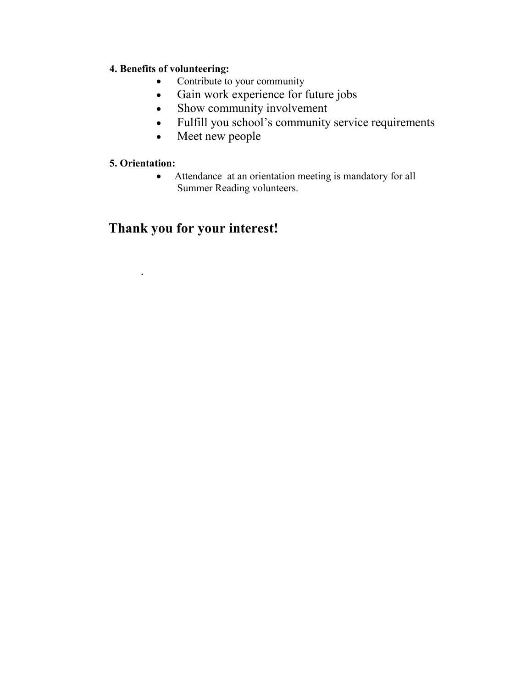## **4. Benefits of volunteering:**

- Contribute to your community
- Gain work experience for future jobs
- Show community involvement
- Fulfill you school's community service requirements
- Meet new people

### **5. Orientation:**

.

• Attendance at an orientation meeting is mandatory for all Summer Reading volunteers.

## **Thank you for your interest!**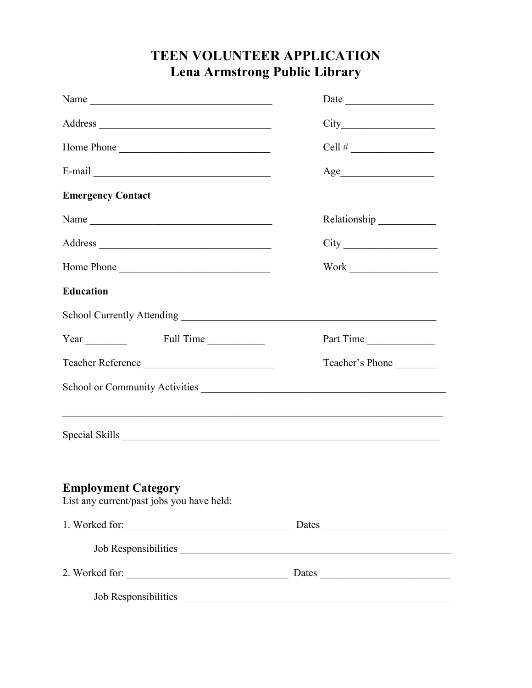# **TEEN VOLUNTEER APPLICATION Lena Armstrong Public Library**

| Name $\frac{1}{\sqrt{1-\frac{1}{2}}\left(1-\frac{1}{2}\right)}$                  | Date            |
|----------------------------------------------------------------------------------|-----------------|
| Address                                                                          |                 |
| Home Phone                                                                       | Cell #          |
|                                                                                  |                 |
| <b>Emergency Contact</b>                                                         |                 |
|                                                                                  |                 |
|                                                                                  |                 |
| Home Phone                                                                       |                 |
| <b>Education</b>                                                                 |                 |
|                                                                                  |                 |
| Year Full Time                                                                   | Part Time       |
| Teacher Reference                                                                | Teacher's Phone |
| School or Community Activities                                                   |                 |
| ,我们也不能在这里的时候,我们也不能在这里的时候,我们也不能会在这里的时候,我们也不能会在这里的时候,我们也不能会在这里的时候,我们也不能会在这里的时候,我们也 |                 |
| <b>Employment Category</b><br>List any current/past jobs you have held:          |                 |
|                                                                                  | Dates           |
|                                                                                  |                 |
| 2. Worked for:                                                                   | Dates           |
|                                                                                  |                 |